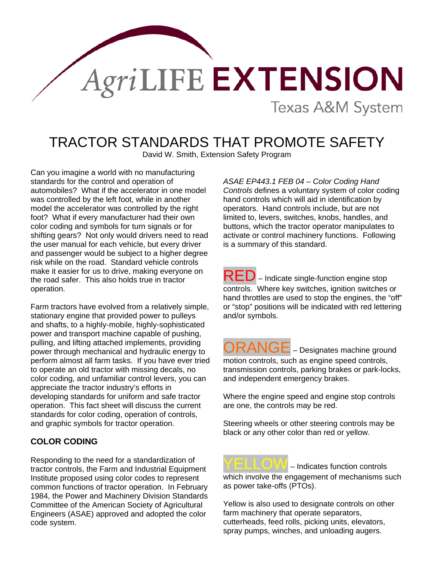

# TRACTOR STANDARDS THAT PROMOTE SAFETY

David W. Smith, Extension Safety Program

Can you imagine a world with no manufacturing standards for the control and operation of automobiles? What if the accelerator in one model was controlled by the left foot, while in another model the accelerator was controlled by the right foot? What if every manufacturer had their own color coding and symbols for turn signals or for shifting gears? Not only would drivers need to read the user manual for each vehicle, but every driver and passenger would be subject to a higher degree risk while on the road. Standard vehicle controls make it easier for us to drive, making everyone on the road safer. This also holds true in tractor operation.

Farm tractors have evolved from a relatively simple, stationary engine that provided power to pulleys and shafts, to a highly-mobile, highly-sophisticated power and transport machine capable of pushing, pulling, and lifting attached implements, providing power through mechanical and hydraulic energy to perform almost all farm tasks. If you have ever tried to operate an old tractor with missing decals, no color coding, and unfamiliar control levers, you can appreciate the tractor industry's efforts in developing standards for uniform and safe tractor operation. This fact sheet will discuss the current standards for color coding, operation of controls, and graphic symbols for tractor operation.

## **COLOR CODING**

Responding to the need for a standardization of tractor controls, the Farm and Industrial Equipment Institute proposed using color codes to represent common functions of tractor operation. In February 1984, the Power and Machinery Division Standards Committee of the American Society of Agricultural Engineers (ASAE) approved and adopted the color code system.

*ASAE EP443.1 FEB 04 – Color Coding Hand Controls* defines a voluntary system of color coding hand controls which will aid in identification by operators. Hand controls include, but are not limited to, levers, switches, knobs, handles, and buttons, which the tractor operator manipulates to activate or control machinery functions. Following is a summary of this standard.

RED – Indicate single-function engine stop controls. Where key switches, ignition switches or hand throttles are used to stop the engines, the "off" or "stop" positions will be indicated with red lettering and/or symbols.

 $\overline{RANGE}$  – Designates machine ground motion controls, such as engine speed controls, transmission controls, parking brakes or park-locks, and independent emergency brakes.

Where the engine speed and engine stop controls are one, the controls may be red.

Steering wheels or other steering controls may be black or any other color than red or yellow.

YELLOW – Indicates function controls which involve the engagement of mechanisms such as power take-offs (PTOs).

Yellow is also used to designate controls on other farm machinery that operate separators, cutterheads, feed rolls, picking units, elevators, spray pumps, winches, and unloading augers.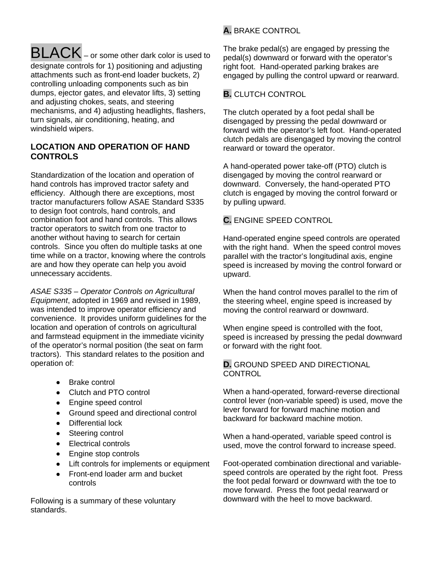#### BLACK – or some other dark color is used to designate controls for 1) positioning and adjusting attachments such as front-end loader buckets, 2) controlling unloading components such as bin dumps, ejector gates, and elevator lifts, 3) setting and adjusting chokes, seats, and steering mechanisms, and 4) adjusting headlights, flashers, turn signals, air conditioning, heating, and windshield wipers.

## **LOCATION AND OPERATION OF HAND CONTROLS**

Standardization of the location and operation of hand controls has improved tractor safety and efficiency. Although there are exceptions, most tractor manufacturers follow ASAE Standard S335 to design foot controls, hand controls, and combination foot and hand controls. This allows tractor operators to switch from one tractor to another without having to search for certain controls. Since you often do multiple tasks at one time while on a tractor, knowing where the controls are and how they operate can help you avoid unnecessary accidents.

*ASAE S335 – Operator Controls on Agricultural Equipment*, adopted in 1969 and revised in 1989, was intended to improve operator efficiency and convenience. It provides uniform guidelines for the location and operation of controls on agricultural and farmstead equipment in the immediate vicinity of the operator's normal position (the seat on farm tractors). This standard relates to the position and operation of:

- Brake control
- Clutch and PTO control
- Engine speed control
- Ground speed and directional control
- Differential lock
- Steering control
- Electrical controls
- Engine stop controls
- Lift controls for implements or equipment
- Front-end loader arm and bucket controls

Following is a summary of these voluntary standards.

# **A.** BRAKE CONTROL

The brake pedal(s) are engaged by pressing the pedal(s) downward or forward with the operator's right foot. Hand-operated parking brakes are engaged by pulling the control upward or rearward.

## **B.** CLUTCH CONTROL

The clutch operated by a foot pedal shall be disengaged by pressing the pedal downward or forward with the operator's left foot. Hand-operated clutch pedals are disengaged by moving the control rearward or toward the operator.

A hand-operated power take-off (PTO) clutch is disengaged by moving the control rearward or downward. Conversely, the hand-operated PTO clutch is engaged by moving the control forward or by pulling upward.

# **C.** ENGINE SPEED CONTROL

Hand-operated engine speed controls are operated with the right hand. When the speed control moves parallel with the tractor's longitudinal axis, engine speed is increased by moving the control forward or upward.

When the hand control moves parallel to the rim of the steering wheel, engine speed is increased by moving the control rearward or downward.

When engine speed is controlled with the foot, speed is increased by pressing the pedal downward or forward with the right foot.

#### **D.** GROUND SPEED AND DIRECTIONAL **CONTROL**

When a hand-operated, forward-reverse directional control lever (non-variable speed) is used, move the lever forward for forward machine motion and backward for backward machine motion.

When a hand-operated, variable speed control is used, move the control forward to increase speed.

Foot-operated combination directional and variablespeed controls are operated by the right foot. Press the foot pedal forward or downward with the toe to move forward. Press the foot pedal rearward or downward with the heel to move backward.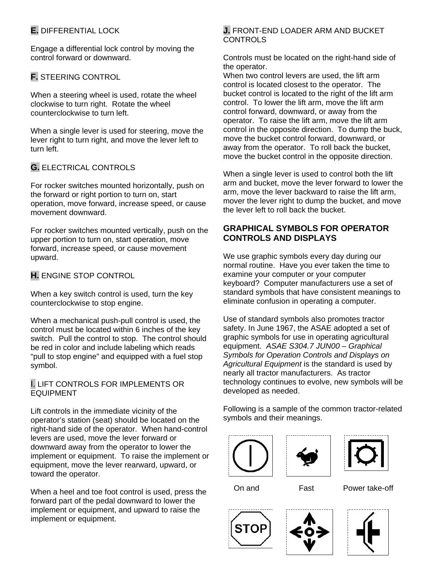# **E.** DIFFERENTIAL LOCK

Engage a differential lock control by moving the control forward or downward.

# **F.** STEERING CONTROL

When a steering wheel is used, rotate the wheel clockwise to turn right. Rotate the wheel counterclockwise to turn left.

When a single lever is used for steering, move the lever right to turn right, and move the lever left to turn left.

## **G.** ELECTRICAL CONTROLS

For rocker switches mounted horizontally, push on the forward or right portion to turn on, start operation, move forward, increase speed, or cause movement downward.

For rocker switches mounted vertically, push on the upper portion to turn on, start operation, move forward, increase speed, or cause movement upward.

## **H.** ENGINE STOP CONTROL

When a key switch control is used, turn the key counterclockwise to stop engine.

When a mechanical push-pull control is used, the control must be located within 6 inches of the key switch. Pull the control to stop. The control should be red in color and include labeling which reads "pull to stop engine" and equipped with a fuel stop symbol.

#### I. LIFT CONTROLS FOR IMPLEMENTS OR **FOUPMENT**

Lift controls in the immediate vicinity of the operator's station (seat) should be located on the right-hand side of the operator. When hand-control levers are used, move the lever forward or downward away from the operator to lower the implement or equipment. To raise the implement or equipment, move the lever rearward, upward, or toward the operator.

When a heel and toe foot control is used, press the forward part of the pedal downward to lower the implement or equipment, and upward to raise the implement or equipment.

#### **J.** FRONT-END LOADER ARM AND BUCKET **CONTROLS**

Controls must be located on the right-hand side of the operator.

When two control levers are used, the lift arm control is located closest to the operator. The bucket control is located to the right of the lift arm control. To lower the lift arm, move the lift arm control forward, downward, or away from the operator. To raise the lift arm, move the lift arm control in the opposite direction. To dump the buck, move the bucket control forward, downward, or away from the operator. To roll back the bucket, move the bucket control in the opposite direction.

When a single lever is used to control both the lift arm and bucket, move the lever forward to lower the arm, move the lever backward to raise the lift arm, mover the lever right to dump the bucket, and move the lever left to roll back the bucket.

## **GRAPHICAL SYMBOLS FOR OPERATOR CONTROLS AND DISPLAYS**

We use graphic symbols every day during our normal routine. Have you ever taken the time to examine your computer or your computer keyboard? Computer manufacturers use a set of standard symbols that have consistent meanings to eliminate confusion in operating a computer.

Use of standard symbols also promotes tractor safety. In June 1967, the ASAE adopted a set of graphic symbols for use in operating agricultural equipment. *ASAE S304.7 JUN00 – Graphical Symbols for Operation Controls and Displays on Agricultural Equipment* is the standard is used by nearly all tractor manufacturers. As tractor technology continues to evolve, new symbols will be developed as needed.

Following is a sample of the common tractor-related symbols and their meanings.







On and Fast Power take-off